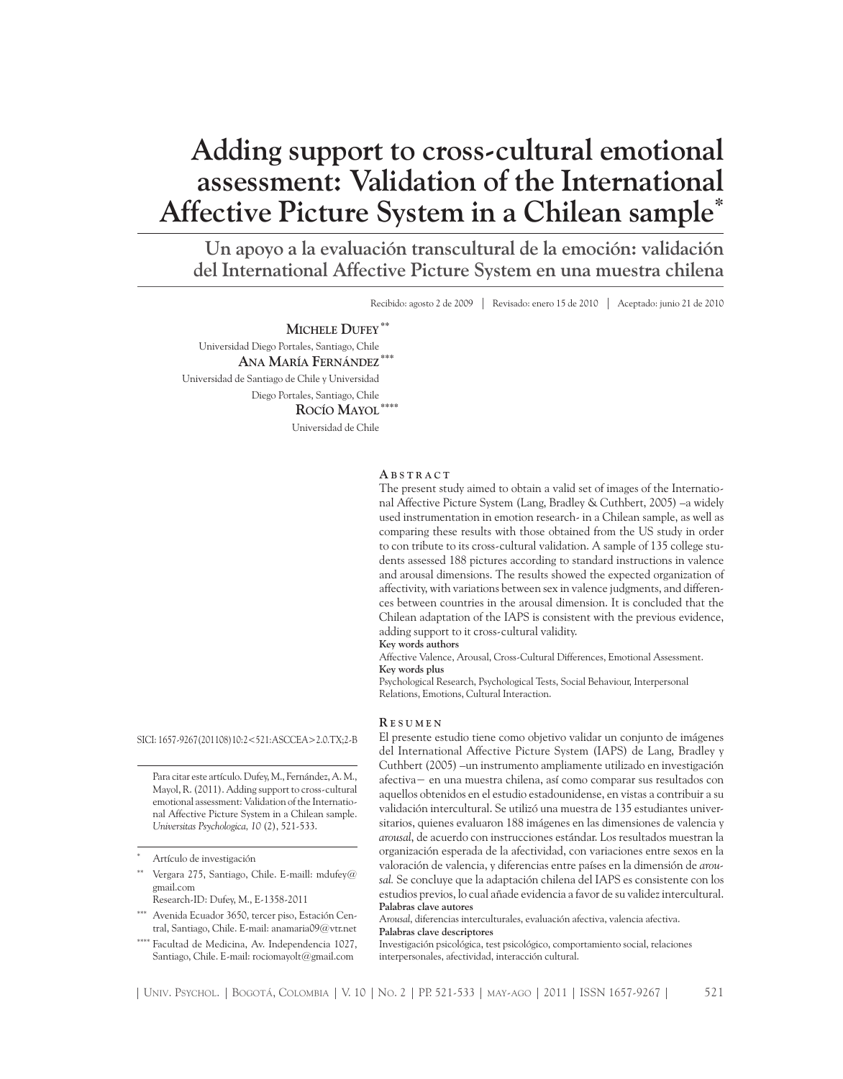# **Adding support to cross-cultural emotional assessment: Validation of the International Affective Picture System in a Chilean sample\***

**Un apoyo a la evaluación transcultural de la emoción: validación del International Affective Picture System en una muestra chilena**

Recibido: agosto 2 de 2009 | Revisado: enero 15 de 2010 | Aceptado: junio 21 de 2010

#### **Michele Dufey\*\***

Universidad Diego Portales, Santiago, Chile  **Ana María Fernández\*\*\*** Universidad de Santiago de Chile y Universidad Diego Portales, Santiago, Chile  **Rocío Mayol\*\*\*\*** Universidad de Chile

#### **A b s t r a c t**

The present study aimed to obtain a valid set of images of the International Affective Picture System (Lang, Bradley & Cuthbert, 2005) –a widely used instrumentation in emotion research- in a Chilean sample, as well as comparing these results with those obtained from the US study in order to con tribute to its cross-cultural validation. A sample of 135 college students assessed 188 pictures according to standard instructions in valence and arousal dimensions. The results showed the expected organization of affectivity, with variations between sex in valence judgments, and differences between countries in the arousal dimension. It is concluded that the Chilean adaptation of the IAPS is consistent with the previous evidence, adding support to it cross-cultural validity.

**Key words authors**

Affective Valence, Arousal, Cross-Cultural Differences, Emotional Assessment. **Key words plus**

Psychological Research, Psychological Tests, Social Behaviour, Interpersonal Relations, Emotions, Cultural Interaction.

#### **R e s u m e n**

SICI: 1657-9267(201108)10:2<521:ASCCEA>2.0.TX;2-B

Para citar este artículo. Dufey, M., Fernández, A. M., Mayol, R. (2011). Adding support to cross-cultural emotional assessment: Validation of the International Affective Picture System in a Chilean sample. *Universitas Psychologica, 10* (2), 521-533.

- Vergara 275, Santiago, Chile. E-maill: mdufey@ gmail.com
- Research-ID: Dufey, M., E-1358-2011
- Avenida Ecuador 3650, tercer piso, Estación Central, Santiago, Chile. E-mail: anamaria09@vtr.net
- Facultad de Medicina, Av. Independencia 1027, Santiago, Chile. E-mail: rociomayolt@gmail.com

El presente estudio tiene como objetivo validar un conjunto de imágenes del International Affective Picture System (IAPS) de Lang, Bradley y Cuthbert (2005) –un instrumento ampliamente utilizado en investigación afectiva− en una muestra chilena, así como comparar sus resultados con aquellos obtenidos en el estudio estadounidense, en vistas a contribuir a su validación intercultural. Se utilizó una muestra de 135 estudiantes universitarios, quienes evaluaron 188 imágenes en las dimensiones de valencia y *arousal*, de acuerdo con instrucciones estándar. Los resultados muestran la organización esperada de la afectividad, con variaciones entre sexos en la valoración de valencia, y diferencias entre países en la dimensión de *arousal.* Se concluye que la adaptación chilena del IAPS es consistente con los estudios previos, lo cual añade evidencia a favor de su validez intercultural. **Palabras clave autores**

A*rousal*, diferencias interculturales, evaluación afectiva, valencia afectiva. **Palabras clave descriptores**

Investigación psicológica, test psicológico, comportamiento social, relaciones interpersonales, afectividad, interacción cultural.

Artículo de investigación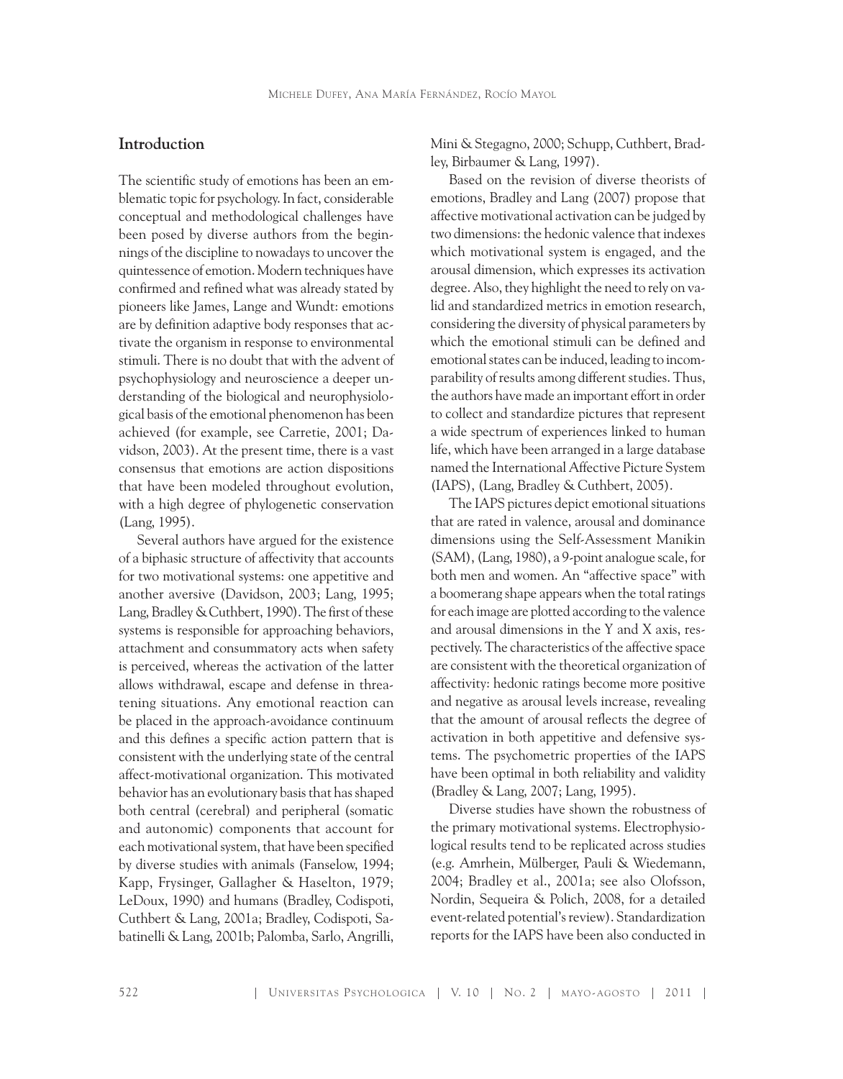## **Introduction**

The scientific study of emotions has been an emblematic topic for psychology. In fact, considerable conceptual and methodological challenges have been posed by diverse authors from the beginnings of the discipline to nowadays to uncover the quintessence of emotion. Modern techniques have confirmed and refined what was already stated by pioneers like James, Lange and Wundt: emotions are by definition adaptive body responses that activate the organism in response to environmental stimuli. There is no doubt that with the advent of psychophysiology and neuroscience a deeper understanding of the biological and neurophysiological basis of the emotional phenomenon has been achieved (for example, see Carretie, 2001; Davidson, 2003). At the present time, there is a vast consensus that emotions are action dispositions that have been modeled throughout evolution, with a high degree of phylogenetic conservation (Lang, 1995).

Several authors have argued for the existence of a biphasic structure of affectivity that accounts for two motivational systems: one appetitive and another aversive (Davidson, 2003; Lang, 1995; Lang, Bradley & Cuthbert, 1990). The first of these systems is responsible for approaching behaviors, attachment and consummatory acts when safety is perceived, whereas the activation of the latter allows withdrawal, escape and defense in threatening situations. Any emotional reaction can be placed in the approach-avoidance continuum and this defines a specific action pattern that is consistent with the underlying state of the central affect-motivational organization. This motivated behavior has an evolutionary basis that has shaped both central (cerebral) and peripheral (somatic and autonomic) components that account for each motivational system, that have been specified by diverse studies with animals (Fanselow, 1994; Kapp, Frysinger, Gallagher & Haselton, 1979; LeDoux, 1990) and humans (Bradley, Codispoti, Cuthbert & Lang, 2001a; Bradley, Codispoti, Sabatinelli & Lang, 2001b; Palomba, Sarlo, Angrilli, Mini & Stegagno, 2000; Schupp, Cuthbert, Bradley, Birbaumer & Lang, 1997).

Based on the revision of diverse theorists of emotions, Bradley and Lang (2007) propose that affective motivational activation can be judged by two dimensions: the hedonic valence that indexes which motivational system is engaged, and the arousal dimension, which expresses its activation degree. Also, they highlight the need to rely on valid and standardized metrics in emotion research, considering the diversity of physical parameters by which the emotional stimuli can be defined and emotional states can be induced, leading to incomparability of results among different studies. Thus, the authors have made an important effort in order to collect and standardize pictures that represent a wide spectrum of experiences linked to human life, which have been arranged in a large database named the International Affective Picture System (IAPS), (Lang, Bradley & Cuthbert, 2005).

The IAPS pictures depict emotional situations that are rated in valence, arousal and dominance dimensions using the Self-Assessment Manikin (SAM), (Lang, 1980), a 9-point analogue scale, for both men and women. An "affective space" with a boomerang shape appears when the total ratings for each image are plotted according to the valence and arousal dimensions in the Y and X axis, respectively. The characteristics of the affective space are consistent with the theoretical organization of affectivity: hedonic ratings become more positive and negative as arousal levels increase, revealing that the amount of arousal reflects the degree of activation in both appetitive and defensive systems. The psychometric properties of the IAPS have been optimal in both reliability and validity (Bradley & Lang, 2007; Lang, 1995).

Diverse studies have shown the robustness of the primary motivational systems. Electrophysiological results tend to be replicated across studies (e.g. Amrhein, Mülberger, Pauli & Wiedemann, 2004; Bradley et al., 2001a; see also Olofsson, Nordin, Sequeira & Polich, 2008, for a detailed event-related potential's review). Standardization reports for the IAPS have been also conducted in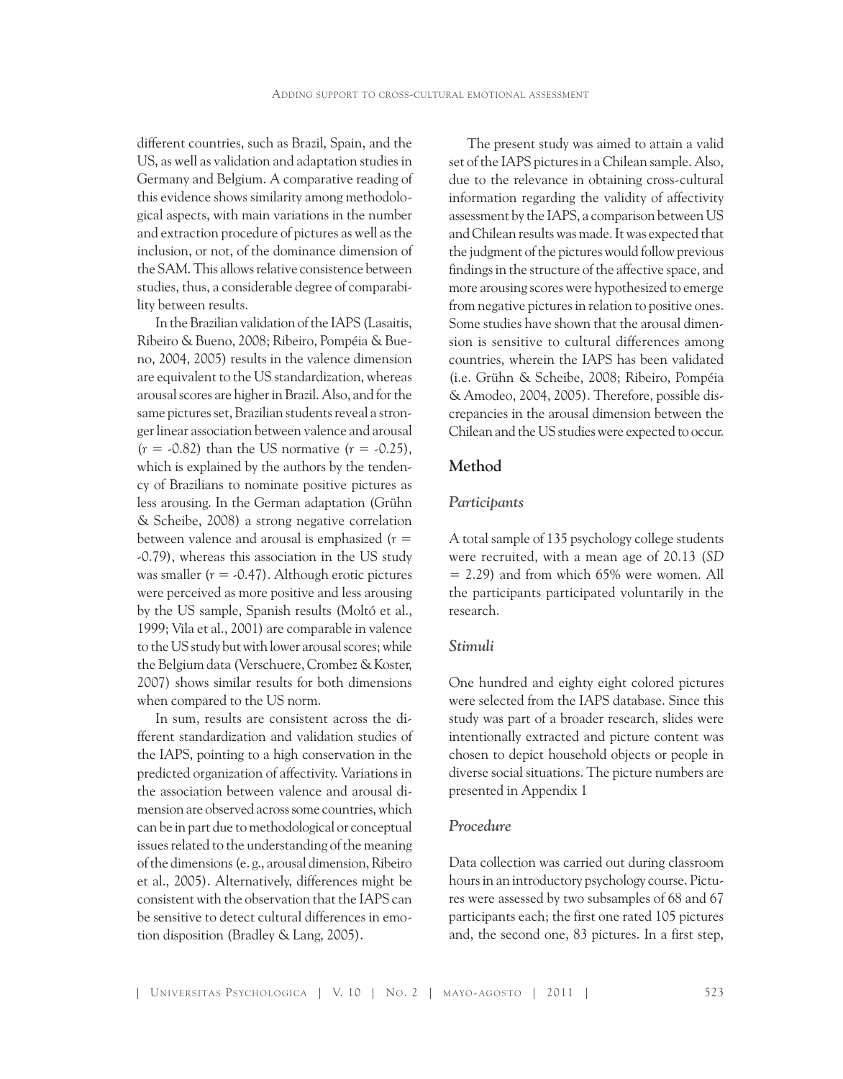different countries, such as Brazil, Spain, and the US, as well as validation and adaptation studies in Germany and Belgium. A comparative reading of this evidence shows similarity among methodological aspects, with main variations in the number and extraction procedure of pictures as well as the inclusion, or not, of the dominance dimension of the SAM. This allows relative consistence between studies, thus, a considerable degree of comparability between results.

In the Brazilian validation of the IAPS (Lasaitis, Ribeiro & Bueno, 2008; Ribeiro, Pompéia & Bueno, 2004, 2005) results in the valence dimension are equivalent to the US standardization, whereas arousal scores are higher in Brazil. Also, and for the same pictures set, Brazilian students reveal a stronger linear association between valence and arousal  $(r = -0.82)$  than the US normative  $(r = -0.25)$ , which is explained by the authors by the tendency of Brazilians to nominate positive pictures as less arousing. In the German adaptation (Grühn & Scheibe, 2008) a strong negative correlation between valence and arousal is emphasized (*r* = -0.79), whereas this association in the US study was smaller  $(r = -0.47)$ . Although erotic pictures were perceived as more positive and less arousing by the US sample, Spanish results (Moltó et al., 1999; Vila et al., 2001) are comparable in valence to the US study but with lower arousal scores; while the Belgium data (Verschuere, Crombez & Koster, 2007) shows similar results for both dimensions when compared to the US norm.

In sum, results are consistent across the different standardization and validation studies of the IAPS, pointing to a high conservation in the predicted organization of affectivity. Variations in the association between valence and arousal dimension are observed across some countries, which can be in part due to methodological or conceptual issues related to the understanding of the meaning of the dimensions (e. g., arousal dimension, Ribeiro et al., 2005). Alternatively, differences might be consistent with the observation that the IAPS can be sensitive to detect cultural differences in emotion disposition (Bradley & Lang, 2005).

The present study was aimed to attain a valid set of the IAPS pictures in a Chilean sample. Also, due to the relevance in obtaining cross-cultural information regarding the validity of affectivity assessment by the IAPS, a comparison between US and Chilean results was made. It was expected that the judgment of the pictures would follow previous findings in the structure of the affective space, and more arousing scores were hypothesized to emerge from negative pictures in relation to positive ones. Some studies have shown that the arousal dimension is sensitive to cultural differences among countries, wherein the IAPS has been validated (i.e. Grühn & Scheibe, 2008; Ribeiro, Pompéia & Amodeo, 2004, 2005). Therefore, possible discrepancies in the arousal dimension between the Chilean and the US studies were expected to occur.

## **Method**

#### *Participants*

A total sample of 135 psychology college students were recruited, with a mean age of 20.13 (*SD*  $= 2.29$ ) and from which 65% were women. All the participants participated voluntarily in the research.

#### *Stimuli*

One hundred and eighty eight colored pictures were selected from the IAPS database. Since this study was part of a broader research, slides were intentionally extracted and picture content was chosen to depict household objects or people in diverse social situations. The picture numbers are presented in Appendix 1

#### *Procedure*

Data collection was carried out during classroom hours in an introductory psychology course. Pictures were assessed by two subsamples of 68 and 67 participants each; the first one rated 105 pictures and, the second one, 83 pictures. In a first step,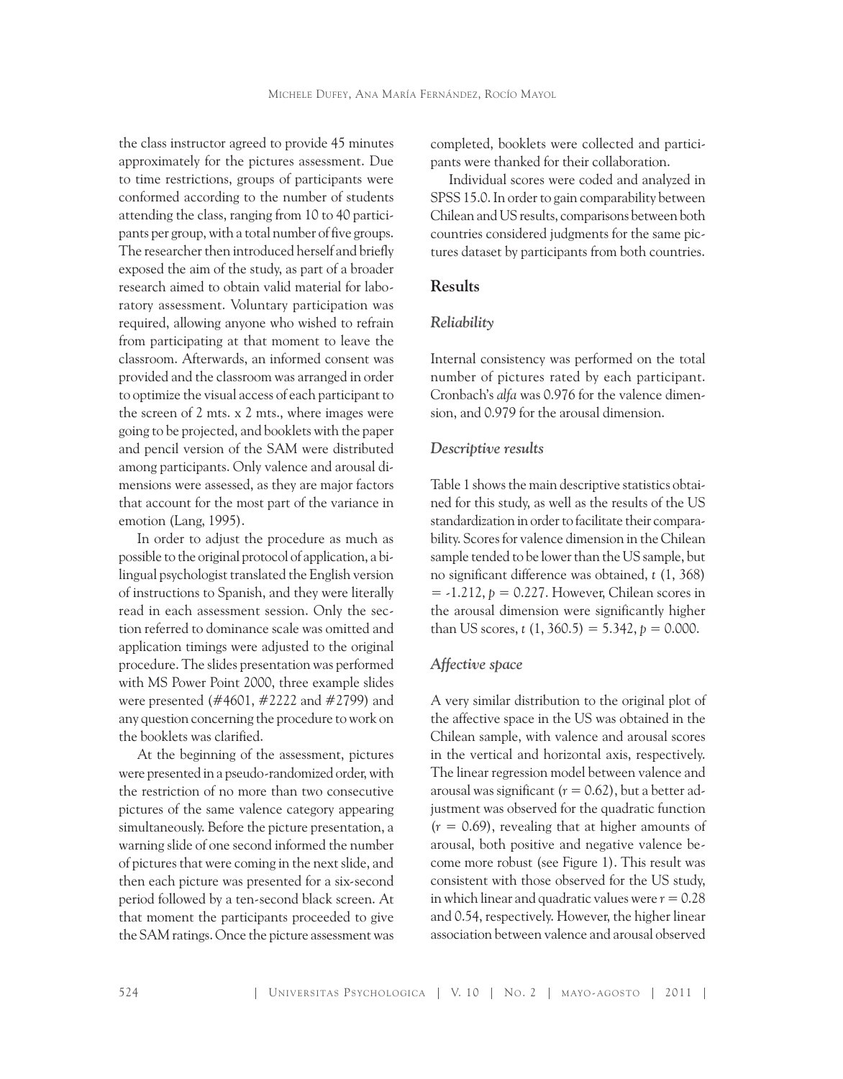the class instructor agreed to provide 45 minutes approximately for the pictures assessment. Due to time restrictions, groups of participants were conformed according to the number of students attending the class, ranging from 10 to 40 participants per group, with a total number of five groups. The researcher then introduced herself and briefly exposed the aim of the study, as part of a broader research aimed to obtain valid material for laboratory assessment. Voluntary participation was required, allowing anyone who wished to refrain from participating at that moment to leave the classroom. Afterwards, an informed consent was provided and the classroom was arranged in order to optimize the visual access of each participant to the screen of 2 mts. x 2 mts., where images were going to be projected, and booklets with the paper and pencil version of the SAM were distributed among participants. Only valence and arousal dimensions were assessed, as they are major factors that account for the most part of the variance in emotion (Lang, 1995).

In order to adjust the procedure as much as possible to the original protocol of application, a bilingual psychologist translated the English version of instructions to Spanish, and they were literally read in each assessment session. Only the section referred to dominance scale was omitted and application timings were adjusted to the original procedure. The slides presentation was performed with MS Power Point 2000, three example slides were presented (#4601, #2222 and #2799) and any question concerning the procedure to work on the booklets was clarified.

At the beginning of the assessment, pictures were presented in a pseudo-randomized order, with the restriction of no more than two consecutive pictures of the same valence category appearing simultaneously. Before the picture presentation, a warning slide of one second informed the number of pictures that were coming in the next slide, and then each picture was presented for a six-second period followed by a ten-second black screen. At that moment the participants proceeded to give the SAM ratings. Once the picture assessment was

completed, booklets were collected and participants were thanked for their collaboration.

Individual scores were coded and analyzed in SPSS 15.0. In order to gain comparability between Chilean and US results, comparisons between both countries considered judgments for the same pictures dataset by participants from both countries.

#### **Results**

#### *Reliability*

Internal consistency was performed on the total number of pictures rated by each participant. Cronbach's *alfa* was 0.976 for the valence dimension, and 0.979 for the arousal dimension.

#### *Descriptive results*

Table 1 shows the main descriptive statistics obtained for this study, as well as the results of the US standardization in order to facilitate their comparability. Scores for valence dimension in the Chilean sample tended to be lower than the US sample, but no significant difference was obtained, *t* (1, 368)  $= -1.212$ ,  $p = 0.227$ . However, Chilean scores in the arousal dimension were significantly higher than US scores,  $t(1, 360.5) = 5.342$ ,  $p = 0.000$ .

### *Affective space*

A very similar distribution to the original plot of the affective space in the US was obtained in the Chilean sample, with valence and arousal scores in the vertical and horizontal axis, respectively. The linear regression model between valence and arousal was significant  $(r = 0.62)$ , but a better adjustment was observed for the quadratic function  $(r = 0.69)$ , revealing that at higher amounts of arousal, both positive and negative valence become more robust (see Figure 1). This result was consistent with those observed for the US study, in which linear and quadratic values were  $r = 0.28$ and 0.54, respectively. However, the higher linear association between valence and arousal observed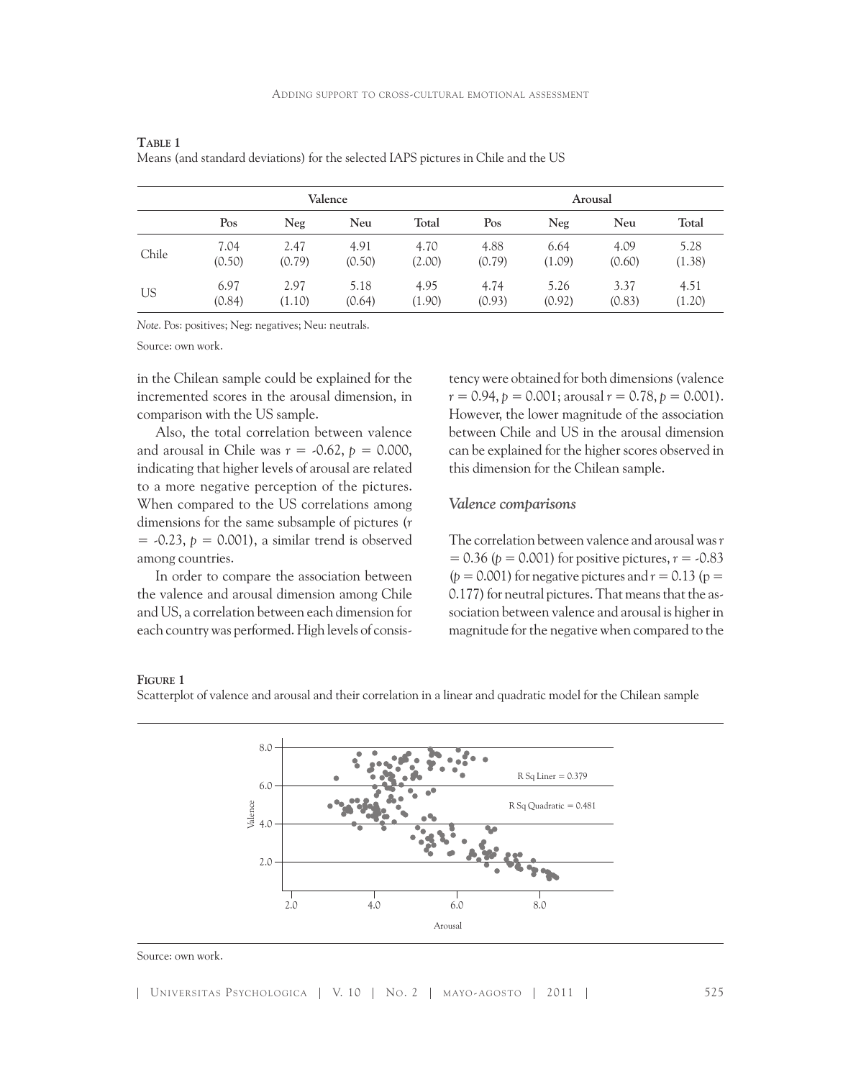|       |        |        | Valence | Arousal |        |        |        |        |  |  |
|-------|--------|--------|---------|---------|--------|--------|--------|--------|--|--|
|       | Pos    | Neg    | Neu     | Total   | Pos    | Neg    | Neu    | Total  |  |  |
| Chile | 7.04   | 2.47   | 4.91    | 4.70    | 4.88   | 6.64   | 4.09   | 5.28   |  |  |
|       | (0.50) | (0.79) | (0.50)  | (2.00)  | (0.79) | (1.09) | (0.60) | (1.38) |  |  |
| US    | 6.97   | 2.97   | 5.18    | 4.95    | 4.74   | 5.26   | 3.37   | 4.51   |  |  |
|       | (0.84) | (1.10) | (0.64)  | (1.90)  | (0.93) | (0.92) | (0.83) | (1.20) |  |  |

**Table 1**  Means (and standard deviations) for the selected IAPS pictures in Chile and the US

*Note.* Pos: positives; Neg: negatives; Neu: neutrals.

Source: own work.

in the Chilean sample could be explained for the incremented scores in the arousal dimension, in comparison with the US sample.

Also, the total correlation between valence and arousal in Chile was  $r = -0.62$ ,  $p = 0.000$ , indicating that higher levels of arousal are related to a more negative perception of the pictures. When compared to the US correlations among dimensions for the same subsample of pictures (*r*  $=$  -0.23,  $p = 0.001$ ), a similar trend is observed among countries.

In order to compare the association between the valence and arousal dimension among Chile and US, a correlation between each dimension for each country was performed. High levels of consis-

tency were obtained for both dimensions (valence  $r = 0.94$ ,  $p = 0.001$ ; arousal  $r = 0.78$ ,  $p = 0.001$ ). However, the lower magnitude of the association between Chile and US in the arousal dimension can be explained for the higher scores observed in this dimension for the Chilean sample.

#### *Valence comparisons*

The correlation between valence and arousal was *r*   $= 0.36$  (*p* = 0.001) for positive pictures, *r* = -0.83  $(p = 0.001)$  for negative pictures and  $r = 0.13$  ( $p =$ 0.177) for neutral pictures. That means that the association between valence and arousal is higher in magnitude for the negative when compared to the

#### **Figure 1**

Scatterplot of valence and arousal and their correlation in a linear and quadratic model for the Chilean sample



Source: own work.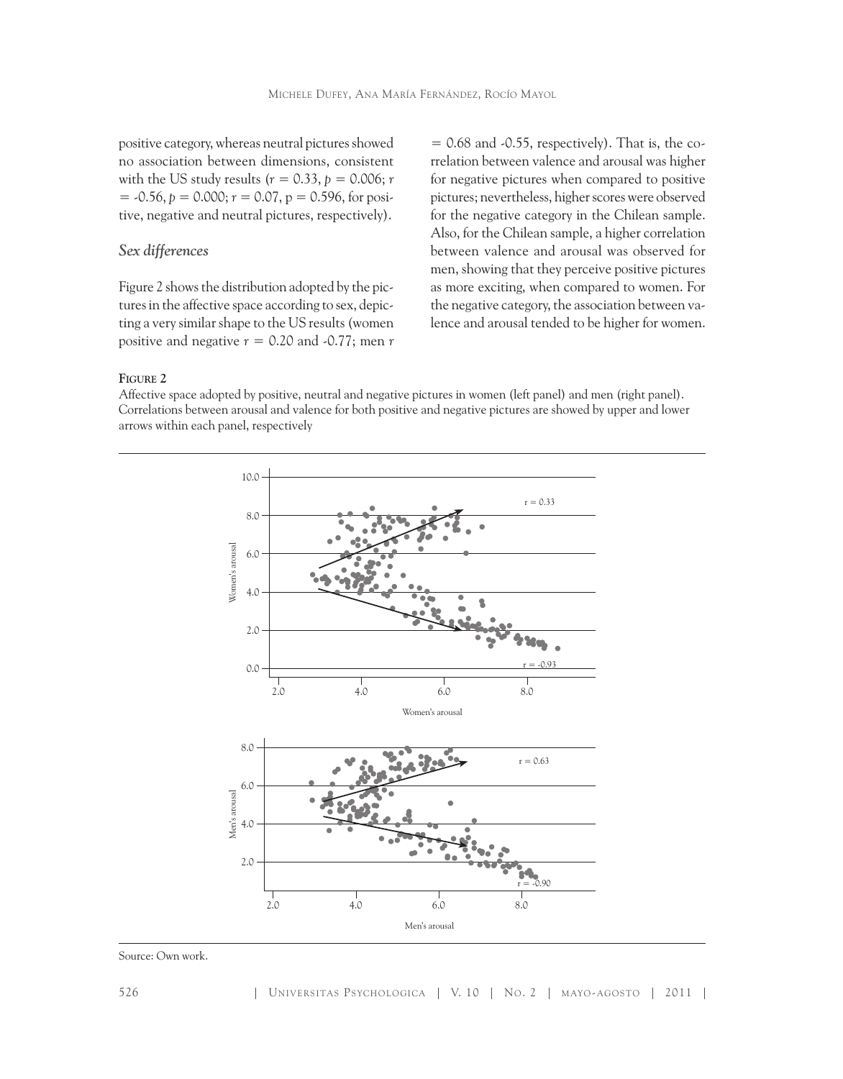positive category, whereas neutral pictures showed no association between dimensions, consistent with the US study results ( $r = 0.33$ ,  $p = 0.006$ ; *r*  $=$  -0.56,  $p = 0.000$ ;  $r = 0.07$ ,  $p = 0.596$ , for positive, negative and neutral pictures, respectively).

### *Sex differences*

Figure 2 shows the distribution adopted by the pictures in the affective space according to sex, depicting a very similar shape to the US results (women positive and negative  $r = 0.20$  and  $-0.77$ ; men  $r$ 

 $= 0.68$  and  $-0.55$ , respectively). That is, the correlation between valence and arousal was higher for negative pictures when compared to positive pictures; nevertheless, higher scores were observed for the negative category in the Chilean sample. Also, for the Chilean sample, a higher correlation between valence and arousal was observed for men, showing that they perceive positive pictures as more exciting, when compared to women. For the negative category, the association between valence and arousal tended to be higher for women.

**Figure 2**

Affective space adopted by positive, neutral and negative pictures in women (left panel) and men (right panel). Correlations between arousal and valence for both positive and negative pictures are showed by upper and lower arrows within each panel, respectively



Source: Own work.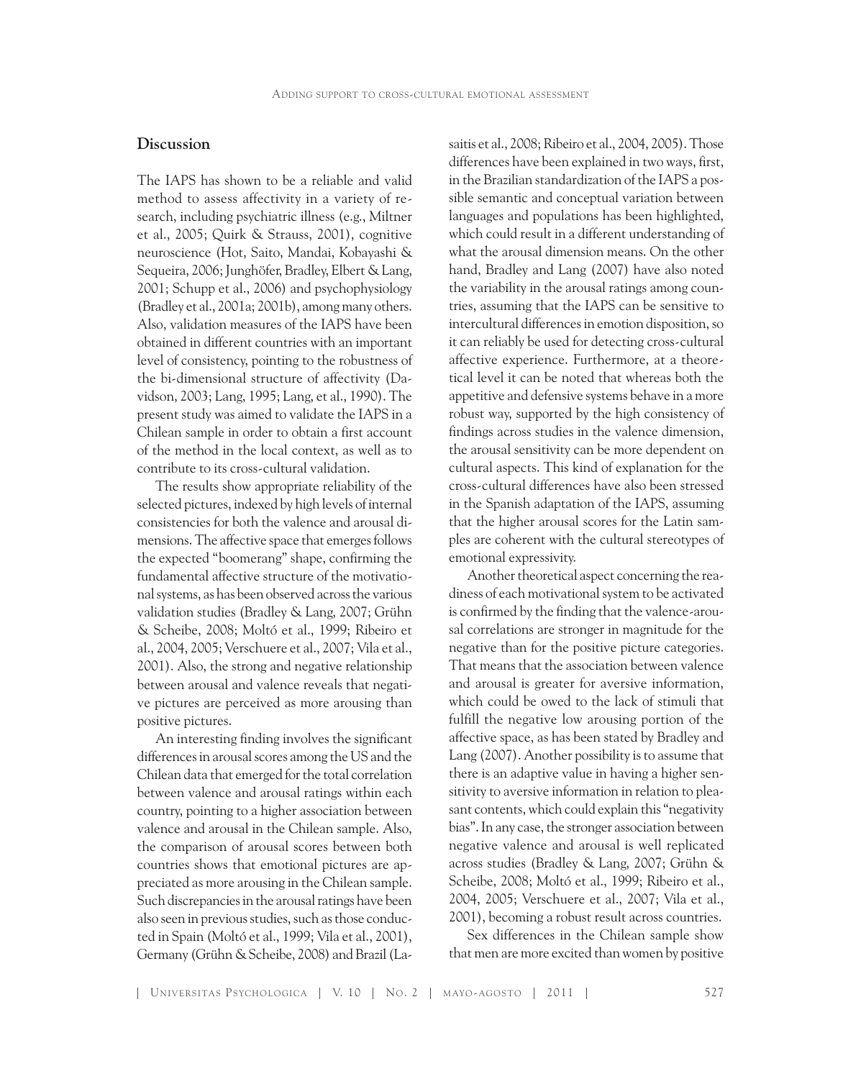## **Discussion**

The IAPS has shown to be a reliable and valid method to assess affectivity in a variety of research, including psychiatric illness (e.g., Miltner et al., 2005; Quirk & Strauss, 2001), cognitive neuroscience (Hot, Saito, Mandai, Kobayashi & Sequeira, 2006; Junghöfer, Bradley, Elbert & Lang, 2001; Schupp et al., 2006) and psychophysiology (Bradley et al., 2001a; 2001b), among many others. Also, validation measures of the IAPS have been obtained in different countries with an important level of consistency, pointing to the robustness of the bi-dimensional structure of affectivity (Davidson, 2003; Lang, 1995; Lang, et al., 1990). The present study was aimed to validate the IAPS in a Chilean sample in order to obtain a first account of the method in the local context, as well as to contribute to its cross-cultural validation.

The results show appropriate reliability of the selected pictures, indexed by high levels of internal consistencies for both the valence and arousal dimensions. The affective space that emerges follows the expected "boomerang" shape, confirming the fundamental affective structure of the motivational systems, as has been observed across the various validation studies (Bradley & Lang, 2007; Grühn & Scheibe, 2008; Moltó et al., 1999; Ribeiro et al., 2004, 2005; Verschuere et al., 2007; Vila et al., 2001). Also, the strong and negative relationship between arousal and valence reveals that negative pictures are perceived as more arousing than positive pictures.

An interesting finding involves the significant differences in arousal scores among the US and the Chilean data that emerged for the total correlation between valence and arousal ratings within each country, pointing to a higher association between valence and arousal in the Chilean sample. Also, the comparison of arousal scores between both countries shows that emotional pictures are appreciated as more arousing in the Chilean sample. Such discrepancies in the arousal ratings have been also seen in previous studies, such as those conducted in Spain (Moltó et al., 1999; Vila et al., 2001), Germany (Grühn & Scheibe, 2008) and Brazil (La-

saitis et al., 2008; Ribeiro et al., 2004, 2005). Those differences have been explained in two ways, first, in the Brazilian standardization of the IAPS a possible semantic and conceptual variation between languages and populations has been highlighted, which could result in a different understanding of what the arousal dimension means. On the other hand, Bradley and Lang (2007) have also noted the variability in the arousal ratings among countries, assuming that the IAPS can be sensitive to intercultural differences in emotion disposition, so it can reliably be used for detecting cross-cultural affective experience. Furthermore, at a theoretical level it can be noted that whereas both the appetitive and defensive systems behave in a more robust way, supported by the high consistency of findings across studies in the valence dimension, the arousal sensitivity can be more dependent on cultural aspects. This kind of explanation for the cross-cultural differences have also been stressed in the Spanish adaptation of the IAPS, assuming that the higher arousal scores for the Latin samples are coherent with the cultural stereotypes of emotional expressivity.

Another theoretical aspect concerning the readiness of each motivational system to be activated is confirmed by the finding that the valence-arousal correlations are stronger in magnitude for the negative than for the positive picture categories. That means that the association between valence and arousal is greater for aversive information, which could be owed to the lack of stimuli that fulfill the negative low arousing portion of the affective space, as has been stated by Bradley and Lang (2007). Another possibility is to assume that there is an adaptive value in having a higher sensitivity to aversive information in relation to pleasant contents, which could explain this "negativity bias". In any case, the stronger association between negative valence and arousal is well replicated across studies (Bradley & Lang, 2007; Grühn & Scheibe, 2008; Moltó et al., 1999; Ribeiro et al., 2004, 2005; Verschuere et al., 2007; Vila et al., 2001), becoming a robust result across countries.

Sex differences in the Chilean sample show that men are more excited than women by positive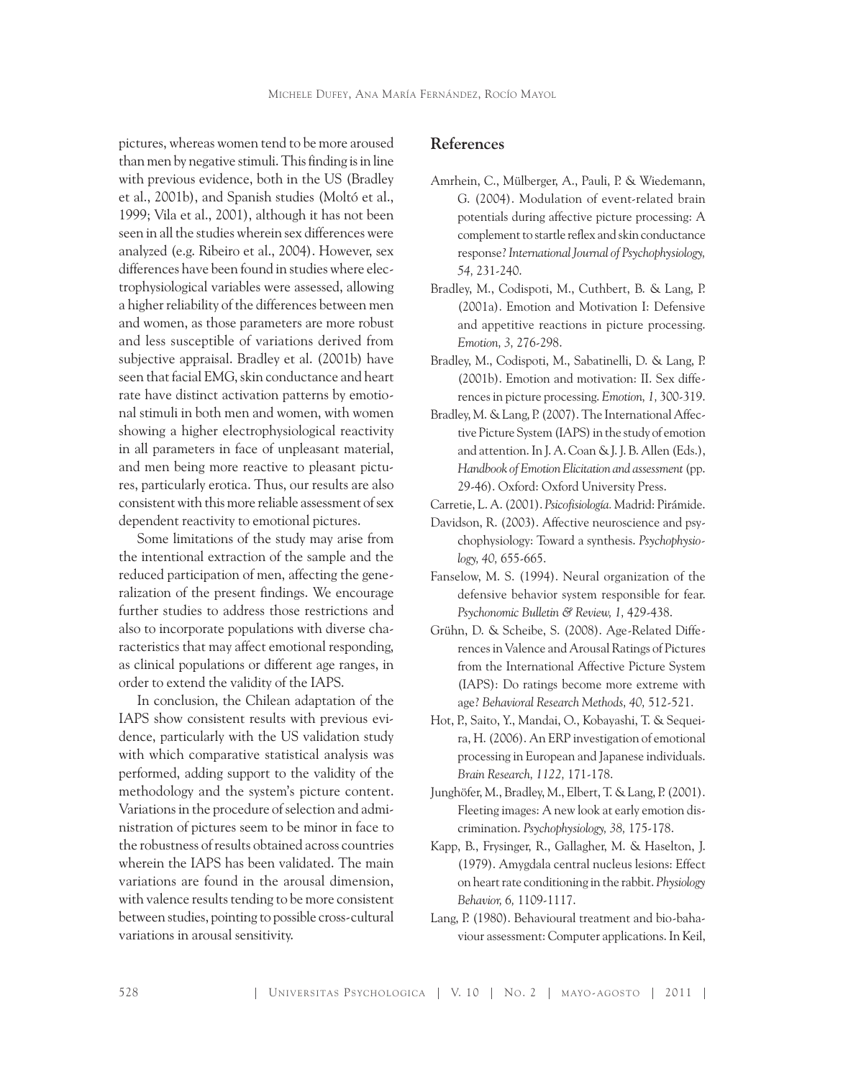pictures, whereas women tend to be more aroused than men by negative stimuli. This finding is in line with previous evidence, both in the US (Bradley et al., 2001b), and Spanish studies (Moltó et al., 1999; Vila et al., 2001), although it has not been seen in all the studies wherein sex differences were analyzed (e.g. Ribeiro et al., 2004). However, sex differences have been found in studies where electrophysiological variables were assessed, allowing a higher reliability of the differences between men and women, as those parameters are more robust and less susceptible of variations derived from subjective appraisal. Bradley et al. (2001b) have seen that facial EMG, skin conductance and heart rate have distinct activation patterns by emotional stimuli in both men and women, with women showing a higher electrophysiological reactivity in all parameters in face of unpleasant material, and men being more reactive to pleasant pictures, particularly erotica. Thus, our results are also consistent with this more reliable assessment of sex dependent reactivity to emotional pictures.

Some limitations of the study may arise from the intentional extraction of the sample and the reduced participation of men, affecting the generalization of the present findings. We encourage further studies to address those restrictions and also to incorporate populations with diverse characteristics that may affect emotional responding, as clinical populations or different age ranges, in order to extend the validity of the IAPS.

In conclusion, the Chilean adaptation of the IAPS show consistent results with previous evidence, particularly with the US validation study with which comparative statistical analysis was performed, adding support to the validity of the methodology and the system's picture content. Variations in the procedure of selection and administration of pictures seem to be minor in face to the robustness of results obtained across countries wherein the IAPS has been validated. The main variations are found in the arousal dimension, with valence results tending to be more consistent between studies, pointing to possible cross-cultural variations in arousal sensitivity.

## **References**

- Amrhein, C., Mülberger, A., Pauli, P. & Wiedemann, G. (2004). Modulation of event-related brain potentials during affective picture processing: A complement to startle reflex and skin conductance response? *International Journal of Psychophysiology, 54,* 231-240.
- Bradley, M., Codispoti, M., Cuthbert, B. & Lang, P. (2001a). Emotion and Motivation I: Defensive and appetitive reactions in picture processing. *Emotion, 3,* 276-298.
- Bradley, M., Codispoti, M., Sabatinelli, D. & Lang, P. (2001b). Emotion and motivation: II. Sex differences in picture processing. *Emotion, 1,* 300-319.
- Bradley, M. & Lang, P. (2007). The International Affective Picture System (IAPS) in the study of emotion and attention. In J. A. Coan & J. J. B. Allen (Eds.), *Handbook of Emotion Elicitation and assessment* (pp. 29-46). Oxford: Oxford University Press.
- Carretie, L. A. (2001). *Psicofisiología.* Madrid: Pirámide.
- Davidson, R. (2003). Affective neuroscience and psychophysiology: Toward a synthesis. *Psychophysiology, 40,* 655-665.
- Fanselow, M. S. (1994). Neural organization of the defensive behavior system responsible for fear. *Psychonomic Bulletin & Review, 1,* 429-438.
- Grühn, D. & Scheibe, S. (2008). Age-Related Differences in Valence and Arousal Ratings of Pictures from the International Affective Picture System (IAPS): Do ratings become more extreme with age? *Behavioral Research Methods, 40,* 512-521.
- Hot, P., Saito, Y., Mandai, O., Kobayashi, T. & Sequeira, H. (2006). An ERP investigation of emotional processing in European and Japanese individuals. *Brain Research, 1122,* 171-178.
- Junghöfer, M., Bradley, M., Elbert, T. & Lang, P. (2001). Fleeting images: A new look at early emotion discrimination. *Psychophysiology, 38,* 175-178.
- Kapp, B., Frysinger, R., Gallagher, M. & Haselton, J. (1979). Amygdala central nucleus lesions: Effect on heart rate conditioning in the rabbit. *Physiology Behavior, 6,* 1109-1117.
- Lang, P. (1980). Behavioural treatment and bio-bahaviour assessment: Computer applications. In Keil,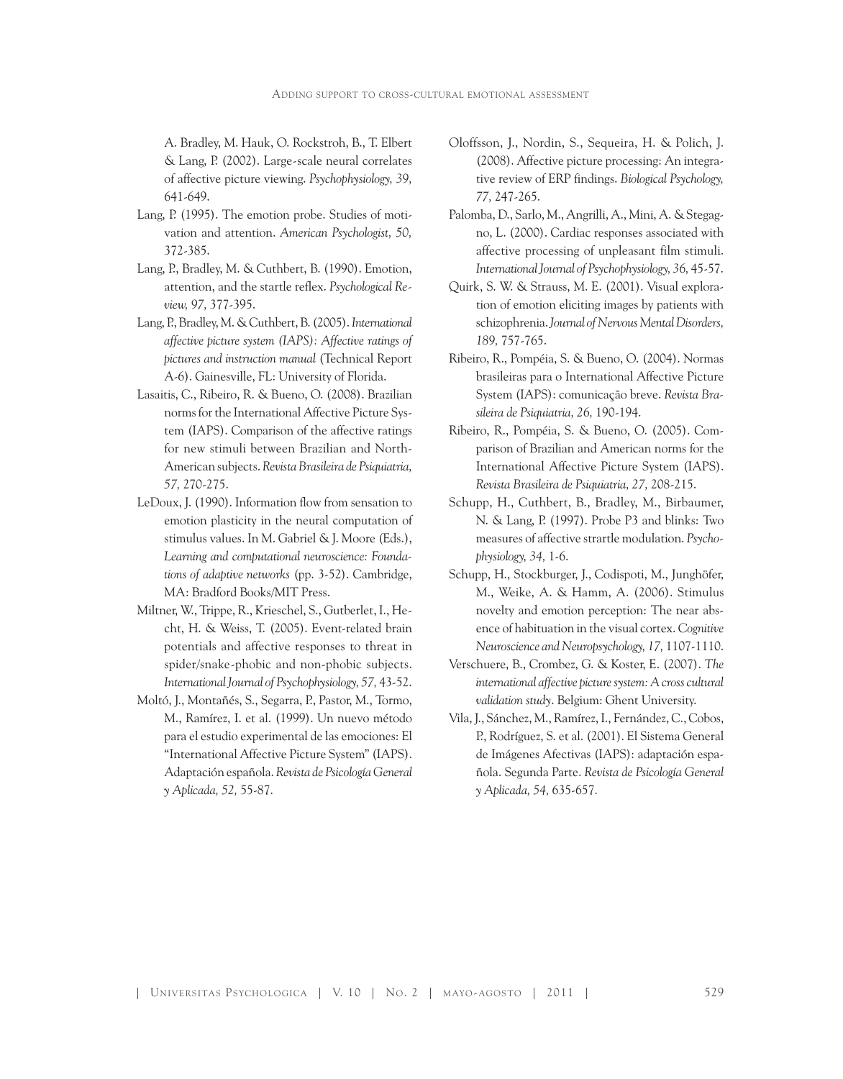A. Bradley, M. Hauk, O. Rockstroh, B., T. Elbert & Lang, P. (2002). Large-scale neural correlates of affective picture viewing. *Psychophysiology, 39,* 641-649.

- Lang, P. (1995). The emotion probe. Studies of motivation and attention. *American Psychologist, 50,* 372-385.
- Lang, P., Bradley, M. & Cuthbert, B. (1990). Emotion, attention, and the startle reflex. *Psychological Review, 97,* 377-395.
- Lang, P., Bradley, M. & Cuthbert, B. (2005). *International affective picture system (IAPS): Affective ratings of pictures and instruction manual* (Technical Report A-6). Gainesville, FL: University of Florida.
- Lasaitis, C., Ribeiro, R. & Bueno, O. (2008). Brazilian norms for the International Affective Picture System (IAPS). Comparison of the affective ratings for new stimuli between Brazilian and North-American subjects. *Revista Brasileira de Psiquiatria, 57,* 270-275.
- LeDoux, J. (1990). Information flow from sensation to emotion plasticity in the neural computation of stimulus values. In M. Gabriel & J. Moore (Eds.), *Learning and computational neuroscience: Foundations of adaptive networks* (pp. 3-52). Cambridge, MA: Bradford Books/MIT Press.
- Miltner, W., Trippe, R., Krieschel, S., Gutberlet, I., Hecht, H. & Weiss, T. (2005). Event-related brain potentials and affective responses to threat in spider/snake-phobic and non-phobic subjects. *International Journal of Psychophysiology, 57,* 43-52.
- Moltó, J., Montañés, S., Segarra, P., Pastor, M., Tormo, M., Ramírez, I. et al. (1999). Un nuevo método para el estudio experimental de las emociones: El "International Affective Picture System" (IAPS). Adaptación española. *Revista de Psicología General y Aplicada, 52,* 55-87.
- Oloffsson, J., Nordin, S., Sequeira, H. & Polich, J. (2008). Affective picture processing: An integrative review of ERP findings. *Biological Psychology, 77,* 247-265.
- Palomba, D., Sarlo, M., Angrilli, A., Mini, A. & Stegagno, L. (2000). Cardiac responses associated with affective processing of unpleasant film stimuli. *International Journal of Psychophysiology, 36,* 45-57.
- Quirk, S. W. & Strauss, M. E. (2001). Visual exploration of emotion eliciting images by patients with schizophrenia. *Journal of Nervous Mental Disorders, 189,* 757-765.
- Ribeiro, R., Pompéia, S. & Bueno, O. (2004). Normas brasileiras para o International Affective Picture System (IAPS): comunicação breve. *Revista Brasileira de Psiquiatria, 26,* 190-194.
- Ribeiro, R., Pompéia, S. & Bueno, O. (2005). Comparison of Brazilian and American norms for the International Affective Picture System (IAPS). *Revista Brasileira de Psiquiatria, 27,* 208-215.
- Schupp, H., Cuthbert, B., Bradley, M., Birbaumer, N. & Lang, P. (1997). Probe P3 and blinks: Two measures of affective strartle modulation. *Psychophysiology, 34,* 1-6.
- Schupp, H., Stockburger, J., Codispoti, M., Junghöfer, M., Weike, A. & Hamm, A. (2006). Stimulus novelty and emotion perception: The near absence of habituation in the visual cortex. *Cognitive Neuroscience and Neuropsychology, 17,* 1107-1110.
- Verschuere, B., Crombez, G. & Koster, E. (2007). *The international affective picture system: A cross cultural validation study*. Belgium: Ghent University.
- Vila, J., Sánchez, M., Ramírez, I., Fernández, C., Cobos, P., Rodríguez, S. et al. (2001). El Sistema General de Imágenes Afectivas (IAPS): adaptación española. Segunda Parte. *Revista de Psicología General y Aplicada, 54,* 635-657.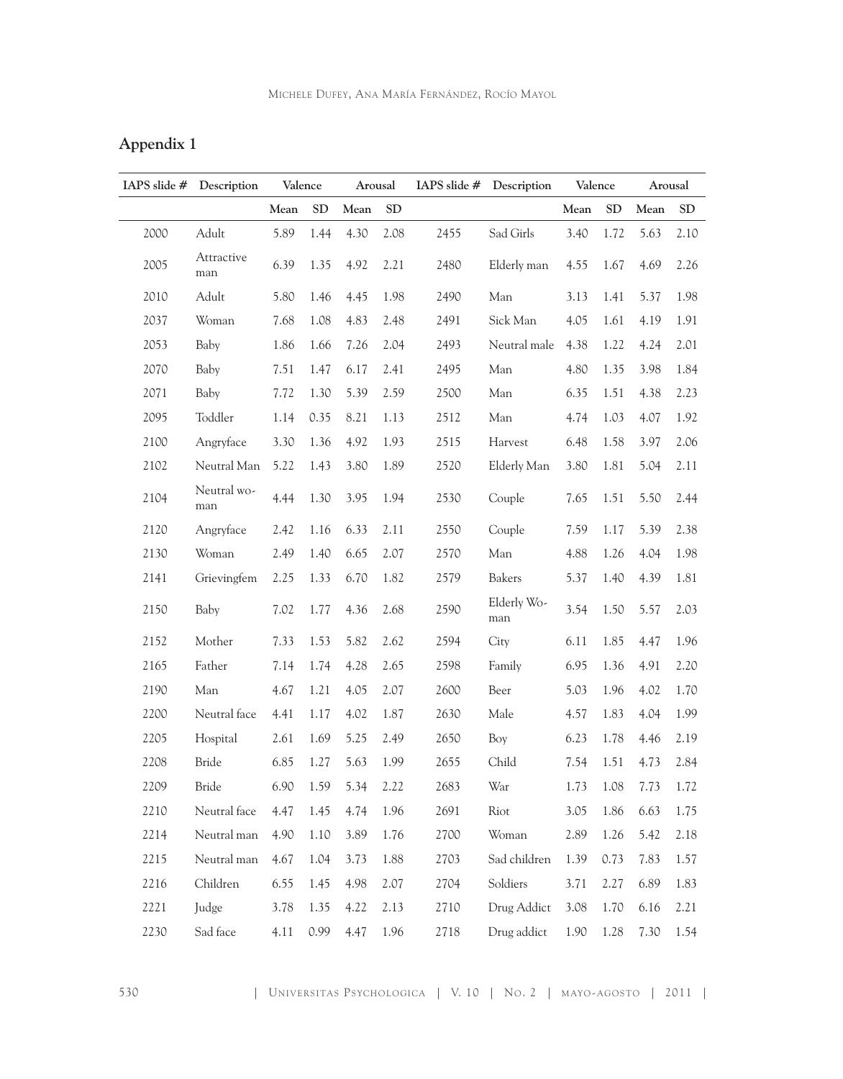| Appendix |  |
|----------|--|
|          |  |
|          |  |

| IAPS slide # | Description        | Valence |           | Arousal |            | IAPS slide $#$ | Description        | Valence |           |      | Arousal    |  |
|--------------|--------------------|---------|-----------|---------|------------|----------------|--------------------|---------|-----------|------|------------|--|
|              |                    | Mean    | <b>SD</b> | Mean    | ${\rm SD}$ |                |                    | Mean    | <b>SD</b> | Mean | ${\rm SD}$ |  |
| 2000         | Adult              | 5.89    | 1.44      | 4.30    | 2.08       | 2455           | Sad Girls          | 3.40    | 1.72      | 5.63 | 2.10       |  |
| 2005         | Attractive<br>man  | 6.39    | 1.35      | 4.92    | 2.21       | 2480           | Elderly man        | 4.55    | 1.67      | 4.69 | 2.26       |  |
| 2010         | Adult              | 5.80    | 1.46      | 4.45    | 1.98       | 2490           | Man                | 3.13    | 1.41      | 5.37 | 1.98       |  |
| 2037         | Woman              | 7.68    | 1.08      | 4.83    | 2.48       | 2491           | Sick Man           | 4.05    | 1.61      | 4.19 | 1.91       |  |
| 2053         | Baby               | 1.86    | 1.66      | 7.26    | 2.04       | 2493           | Neutral male       | 4.38    | 1.22      | 4.24 | 2.01       |  |
| 2070         | Baby               | 7.51    | 1.47      | 6.17    | 2.41       | 2495           | Man                | 4.80    | 1.35      | 3.98 | 1.84       |  |
| 2071         | Baby               | 7.72    | 1.30      | 5.39    | 2.59       | 2500           | Man                | 6.35    | 1.51      | 4.38 | 2.23       |  |
| 2095         | Toddler            | 1.14    | 0.35      | 8.21    | 1.13       | 2512           | Man                | 4.74    | 1.03      | 4.07 | 1.92       |  |
| 2100         | Angryface          | 3.30    | 1.36      | 4.92    | 1.93       | 2515           | Harvest            | 6.48    | 1.58      | 3.97 | 2.06       |  |
| 2102         | Neutral Man        | 5.22    | 1.43      | 3.80    | 1.89       | 2520           | Elderly Man        | 3.80    | 1.81      | 5.04 | 2.11       |  |
| 2104         | Neutral wo-<br>man | 4.44    | 1.30      | 3.95    | 1.94       | 2530           | Couple             | 7.65    | 1.51      | 5.50 | 2.44       |  |
| 2120         | Angryface          | 2.42    | 1.16      | 6.33    | 2.11       | 2550           | Couple             | 7.59    | 1.17      | 5.39 | 2.38       |  |
| 2130         | Woman              | 2.49    | 1.40      | 6.65    | 2.07       | 2570           | Man                | 4.88    | 1.26      | 4.04 | 1.98       |  |
| 2141         | Grievingfem        | 2.25    | 1.33      | 6.70    | 1.82       | 2579           | Bakers             | 5.37    | 1.40      | 4.39 | 1.81       |  |
| 2150         | Baby               | 7.02    | 1.77      | 4.36    | 2.68       | 2590           | Elderly Wo-<br>man | 3.54    | 1.50      | 5.57 | 2.03       |  |
| 2152         | Mother             | 7.33    | 1.53      | 5.82    | 2.62       | 2594           | City               | 6.11    | 1.85      | 4.47 | 1.96       |  |
| 2165         | Father             | 7.14    | 1.74      | 4.28    | 2.65       | 2598           | Family             | 6.95    | 1.36      | 4.91 | 2.20       |  |
| 2190         | Man                | 4.67    | 1.21      | 4.05    | 2.07       | 2600           | Beer               | 5.03    | 1.96      | 4.02 | 1.70       |  |
| 2200         | Neutral face       | 4.41    | 1.17      | 4.02    | 1.87       | 2630           | Male               | 4.57    | 1.83      | 4.04 | 1.99       |  |
| 2205         | Hospital           | 2.61    | 1.69      | 5.25    | 2.49       | 2650           | Boy                | 6.23    | 1.78      | 4.46 | 2.19       |  |
| 2208         | Bride              | 6.85    | 1.27      | 5.63    | 1.99       | 2655           | Child              | 7.54    | 1.51      | 4.73 | 2.84       |  |
| 2209         | Bride              | 6.90    | 1.59      | 5.34    | 2.22       | 2683           | War                | 1.73    | 1.08      | 7.73 | 1.72       |  |
| 2210         | Neutral face       | 4.47    | 1.45      | 4.74    | 1.96       | 2691           | Riot               | 3.05    | 1.86      | 6.63 | 1.75       |  |
| 2214         | Neutral man        | 4.90    | 1.10      | 3.89    | 1.76       | 2700           | Woman              | 2.89    | 1.26      | 5.42 | 2.18       |  |
| 2215         | Neutral man        | 4.67    | 1.04      | 3.73    | 1.88       | 2703           | Sad children       | 1.39    | 0.73      | 7.83 | 1.57       |  |
| 2216         | Children           | 6.55    | 1.45      | 4.98    | 2.07       | 2704           | Soldiers           | 3.71    | 2.27      | 6.89 | 1.83       |  |
| 2221         | Judge              | 3.78    | 1.35      | 4.22    | 2.13       | 2710           | Drug Addict        | 3.08    | 1.70      | 6.16 | 2.21       |  |
| 2230         | Sad face           | 4.11    | 0.99      | 4.47    | 1.96       | 2718           | Drug addict        | 1.90    | 1.28      | 7.30 | 1.54       |  |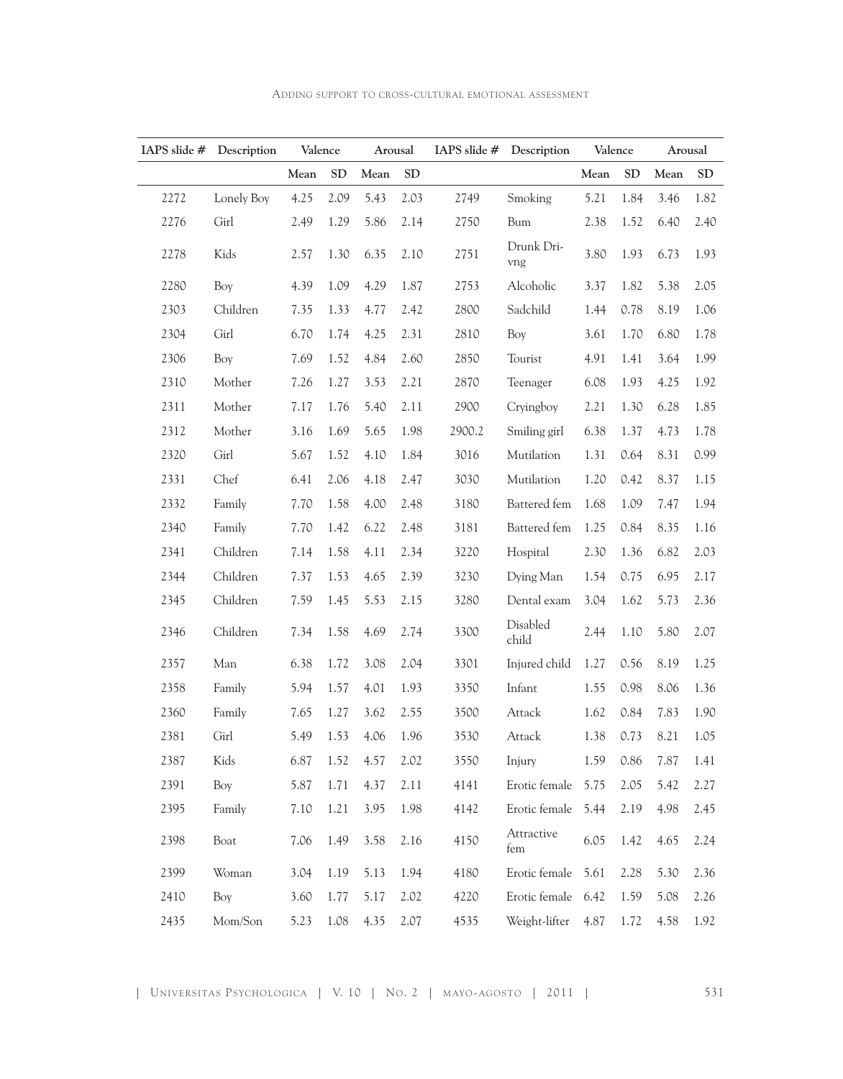| IAPS slide $#$ | Description | Valence |            | Arousal             |            |        | IAPS slide # Description | Valence   |            |      | Arousal    |
|----------------|-------------|---------|------------|---------------------|------------|--------|--------------------------|-----------|------------|------|------------|
|                |             | Mean    | ${\rm SD}$ | Mean                | ${\rm SD}$ |        |                          | Mean      | ${\rm SD}$ | Mean | ${\rm SD}$ |
| 2272           | Lonely Boy  | 4.25    | 2.09       | 5.43                | 2.03       | 2749   | Smoking                  | 5.21      | 1.84       | 3.46 | 1.82       |
| 2276           | Girl        | 2.49    | 1.29       | 5.86                | 2.14       | 2750   | Bum                      | 2.38      | 1.52       | 6.40 | 2.40       |
| 2278           | Kids        | 2.57    | 1.30       | 6.35                | 2.10       | 2751   | Drunk Dri-<br>vng        | 3.80      | 1.93       | 6.73 | 1.93       |
| 2280           | Boy         | 4.39    | 1.09       | 4.29                | 1.87       | 2753   | Alcoholic                | 3.37      | 1.82       | 5.38 | 2.05       |
| 2303           | Children    | 7.35    | 1.33       | 4.77                | 2.42       | 2800   | Sadchild                 | 1.44      | 0.78       | 8.19 | 1.06       |
| 2304           | Girl        | 6.70    | 1.74       | 4.25                | 2.31       | 2810   | Boy                      | 3.61      | 1.70       | 6.80 | 1.78       |
| 2306           | Boy         | 7.69    | 1.52       | 4.84                | 2.60       | 2850   | Tourist                  | 4.91      | 1.41       | 3.64 | 1.99       |
| 2310           | Mother      | 7.26    | 1.27       | 3.53                | 2.21       | 2870   | Teenager                 | 6.08      | 1.93       | 4.25 | 1.92       |
| 2311           | Mother      | 7.17    | 1.76       | 5.40                | 2.11       | 2900   | Cryingboy                | 2.21      | 1.30       | 6.28 | 1.85       |
| 2312           | Mother      | 3.16    | 1.69       | 5.65                | 1.98       | 2900.2 | Smiling girl             | 6.38      | 1.37       | 4.73 | 1.78       |
| 2320           | Girl        | 5.67    | 1.52       | 4.10                | 1.84       | 3016   | Mutilation               | 1.31      | 0.64       | 8.31 | 0.99       |
| 2331           | Chef        | 6.41    | 2.06       | 4.18                | 2.47       | 3030   | Mutilation               | 1.20      | 0.42       | 8.37 | 1.15       |
| 2332           | Family      | 7.70    | 1.58       | 4.00                | 2.48       | 3180   | Battered fem             | 1.68      | 1.09       | 7.47 | 1.94       |
| 2340           | Family      | 7.70    | 1.42       | 6.22                | 2.48       | 3181   | Battered fem             | 1.25      | 0.84       | 8.35 | 1.16       |
| 2341           | Children    | 7.14    | 1.58       | 4.11                | 2.34       | 3220   | Hospital                 | 2.30      | 1.36       | 6.82 | 2.03       |
| 2344           | Children    | 7.37    | 1.53       | 4.65                | 2.39       | 3230   | Dying Man                | 1.54      | 0.75       | 6.95 | 2.17       |
| 2345           | Children    | 7.59    | 1.45       | 5.53                | 2.15       | 3280   | Dental exam              | 3.04      | 1.62       | 5.73 | 2.36       |
| 2346           | Children    | 7.34    | 1.58       | 4.69                | 2.74       | 3300   | Disabled<br>child        | 2.44      | 1.10       | 5.80 | 2.07       |
| 2357           | Man         | 6.38    | 1.72       | 3.08                | 2.04       | 3301   | Injured child            | 1.27      | 0.56       | 8.19 | 1.25       |
| 2358           | Family      | 5.94    | 1.57       | 4.01                | 1.93       | 3350   | Infant                   | 1.55      | 0.98       | 8.06 | 1.36       |
| 2360           | Family      |         |            | 7.65 1.27 3.62 2.55 |            | 3500   | Attack                   | 1.62 0.84 |            | 7.83 | 1.90       |
| 2381           | Girl        | 5.49    | 1.53       | 4.06                | 1.96       | 3530   | Attack                   | 1.38      | 0.73       | 8.21 | 1.05       |
| 2387           | Kids        | 6.87    | 1.52       | 4.57                | 2.02       | 3550   | Injury                   | 1.59      | 0.86       | 7.87 | 1.41       |
| 2391           | Boy         | 5.87    | 1.71       | 4.37                | 2.11       | 4141   | Erotic female            | 5.75      | 2.05       | 5.42 | 2.27       |
| 2395           | Family      | 7.10    | 1.21       | 3.95                | 1.98       | 4142   | Erotic female            | 5.44      | 2.19       | 4.98 | 2.45       |
| 2398           | Boat        | 7.06    | 1.49       | 3.58                | 2.16       | 4150   | Attractive<br>fem        | 6.05      | 1.42       | 4.65 | 2.24       |
| 2399           | Woman       | 3.04    | 1.19       | 5.13                | 1.94       | 4180   | Erotic female            | 5.61      | 2.28       | 5.30 | 2.36       |
| 2410           | Boy         | 3.60    | 1.77       | 5.17                | 2.02       | 4220   | Erotic female 6.42       |           | 1.59       | 5.08 | 2.26       |
| 2435           | Mom/Son     | 5.23    | 1.08       | 4.35                | 2.07       | 4535   | Weight-lifter            | 4.87      | 1.72       | 4.58 | 1.92       |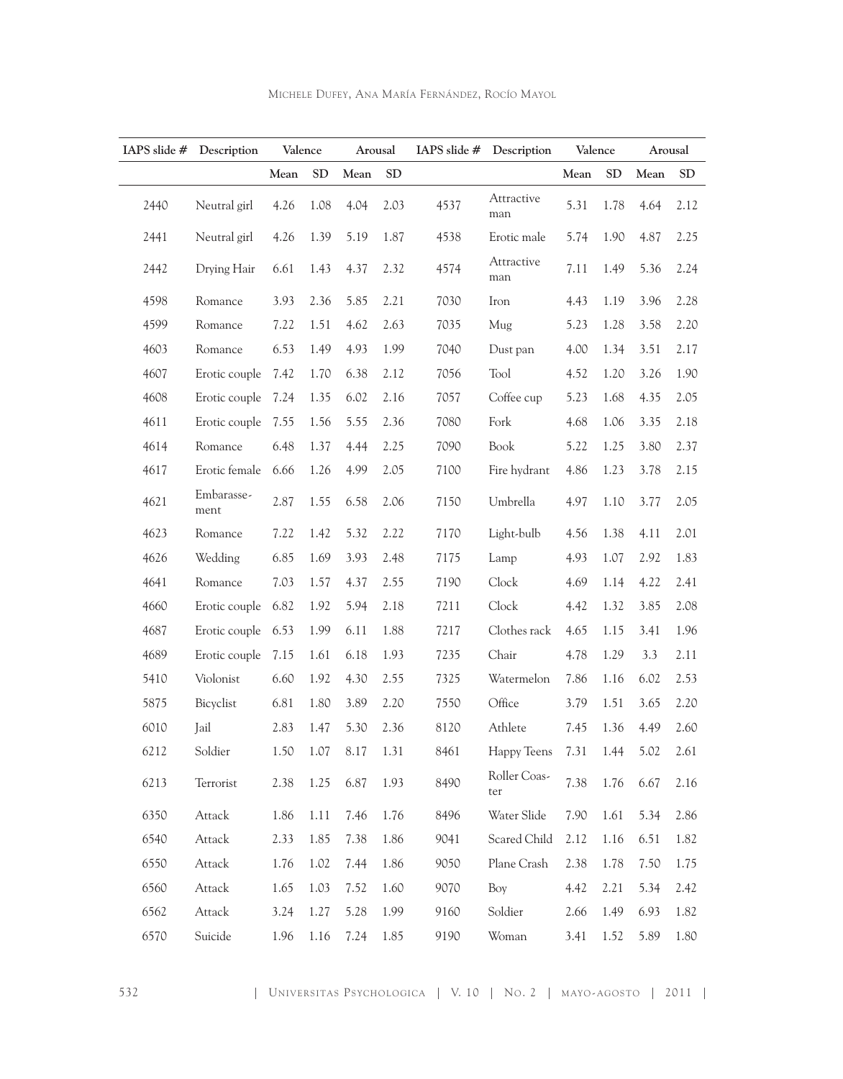| IAPS slide # | Description        | Valence |            | Arousal |           |      | IAPS slide # Description   |      | Valence    |      | Arousal    |
|--------------|--------------------|---------|------------|---------|-----------|------|----------------------------|------|------------|------|------------|
|              |                    | Mean    | ${\rm SD}$ | Mean    | <b>SD</b> |      |                            | Mean | ${\rm SD}$ | Mean | ${\rm SD}$ |
| 2440         | Neutral girl       | 4.26    | 1.08       | 4.04    | 2.03      | 4537 | Attractive<br>man          | 5.31 | 1.78       | 4.64 | 2.12       |
| 2441         | Neutral girl       | 4.26    | 1.39       | 5.19    | 1.87      | 4538 | Erotic male                | 5.74 | 1.90       | 4.87 | 2.25       |
| 2442         | Drying Hair        | 6.61    | 1.43       | 4.37    | 2.32      | 4574 | Attractive<br>$_{\rm man}$ | 7.11 | 1.49       | 5.36 | 2.24       |
| 4598         | Romance            | 3.93    | 2.36       | 5.85    | 2.21      | 7030 | Iron                       | 4.43 | 1.19       | 3.96 | 2.28       |
| 4599         | Romance            | 7.22    | 1.51       | 4.62    | 2.63      | 7035 | Mug                        | 5.23 | 1.28       | 3.58 | 2.20       |
| 4603         | Romance            | 6.53    | 1.49       | 4.93    | 1.99      | 7040 | Dust pan                   | 4.00 | 1.34       | 3.51 | 2.17       |
| 4607         | Erotic couple      | 7.42    | 1.70       | 6.38    | 2.12      | 7056 | Tool                       | 4.52 | 1.20       | 3.26 | 1.90       |
| 4608         | Erotic couple      | 7.24    | 1.35       | 6.02    | 2.16      | 7057 | Coffee cup                 | 5.23 | 1.68       | 4.35 | 2.05       |
| 4611         | Erotic couple      | 7.55    | 1.56       | 5.55    | 2.36      | 7080 | Fork                       | 4.68 | 1.06       | 3.35 | 2.18       |
| 4614         | Romance            | 6.48    | 1.37       | 4.44    | 2.25      | 7090 | Book                       | 5.22 | 1.25       | 3.80 | 2.37       |
| 4617         | Erotic female      | 6.66    | 1.26       | 4.99    | 2.05      | 7100 | Fire hydrant               | 4.86 | 1.23       | 3.78 | 2.15       |
| 4621         | Embarasse-<br>ment | 2.87    | 1.55       | 6.58    | 2.06      | 7150 | Umbrella                   | 4.97 | 1.10       | 3.77 | 2.05       |
| 4623         | Romance            | 7.22    | 1.42       | 5.32    | 2.22      | 7170 | Light-bulb                 | 4.56 | 1.38       | 4.11 | 2.01       |
| 4626         | Wedding            | 6.85    | 1.69       | 3.93    | 2.48      | 7175 | Lamp                       | 4.93 | 1.07       | 2.92 | 1.83       |
| 4641         | Romance            | 7.03    | 1.57       | 4.37    | 2.55      | 7190 | Clock                      | 4.69 | 1.14       | 4.22 | 2.41       |
| 4660         | Erotic couple      | 6.82    | 1.92       | 5.94    | 2.18      | 7211 | Clock                      | 4.42 | 1.32       | 3.85 | 2.08       |
| 4687         | Erotic couple      | 6.53    | 1.99       | 6.11    | 1.88      | 7217 | Clothes rack               | 4.65 | 1.15       | 3.41 | 1.96       |
| 4689         | Erotic couple      | 7.15    | 1.61       | 6.18    | 1.93      | 7235 | Chair                      | 4.78 | 1.29       | 3.3  | 2.11       |
| 5410         | Violonist          | 6.60    | 1.92       | 4.30    | 2.55      | 7325 | Watermelon                 | 7.86 | 1.16       | 6.02 | 2.53       |
| 5875         | Bicyclist          | 6.81    | 1.80       | 3.89    | 2.20      | 7550 | Office                     | 3.79 | 1.51       | 3.65 | 2.20       |
| 6010         | Jail               | 2.83    | 1.47       | 5.30    | 2.36      | 8120 | Athlete                    | 7.45 | 1.36       | 4.49 | 2.60       |
| 6212         | Soldier            | 1.50    | 1.07       | 8.17    | 1.31      | 8461 | Happy Teens                | 7.31 | 1.44       | 5.02 | 2.61       |
| 6213         | Terrorist          | 2.38    | 1.25       | 6.87    | 1.93      | 8490 | Roller Coas-<br>ter        | 7.38 | 1.76       | 6.67 | 2.16       |
| 6350         | Attack             | 1.86    | 1.11       | 7.46    | 1.76      | 8496 | Water Slide                | 7.90 | 1.61       | 5.34 | 2.86       |
| 6540         | Attack             | 2.33    | 1.85       | 7.38    | 1.86      | 9041 | Scared Child               | 2.12 | 1.16       | 6.51 | 1.82       |
| 6550         | Attack             | 1.76    | 1.02       | 7.44    | 1.86      | 9050 | Plane Crash                | 2.38 | 1.78       | 7.50 | 1.75       |
| 6560         | Attack             | 1.65    | 1.03       | 7.52    | 1.60      | 9070 | Boy                        | 4.42 | 2.21       | 5.34 | 2.42       |
| 6562         | Attack             | 3.24    | 1.27       | 5.28    | 1.99      | 9160 | Soldier                    | 2.66 | 1.49       | 6.93 | 1.82       |
| 6570         | Suicide            | 1.96    | 1.16       | 7.24    | 1.85      | 9190 | Woman                      | 3.41 | 1.52       | 5.89 | 1.80       |

Michele Dufey, Ana María Fernández, Rocío Mayol